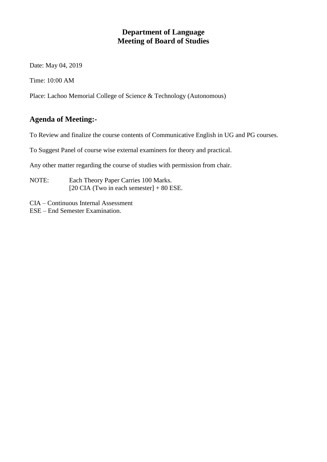### **Department of Language Meeting of Board of Studies**

Date: May 04, 2019

Time: 10:00 AM

Place: Lachoo Memorial College of Science & Technology (Autonomous)

### **Agenda of Meeting:-**

To Review and finalize the course contents of Communicative English in UG and PG courses.

To Suggest Panel of course wise external examiners for theory and practical.

Any other matter regarding the course of studies with permission from chair.

- NOTE: Each Theory Paper Carries 100 Marks. [20 CIA (Two in each semester]  $+80$  ESE.
- CIA Continuous Internal Assessment
- ESE End Semester Examination.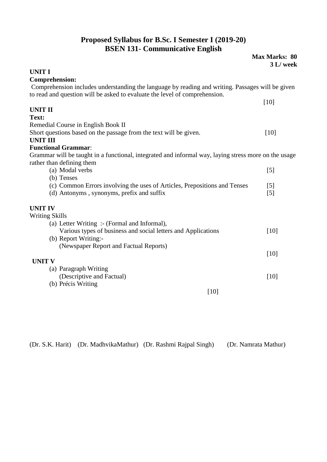## **Proposed Syllabus for B.Sc. I Semester I (2019-20) BSEN 131- Communicative English**

**Max Marks: 80**

| <b>UNIT I</b><br><b>Comprehension:</b><br>Comprehension includes understanding the language by reading and writing. Passages will be given |  |
|--------------------------------------------------------------------------------------------------------------------------------------------|--|
|                                                                                                                                            |  |
|                                                                                                                                            |  |
|                                                                                                                                            |  |
| to read and question will be asked to evaluate the level of comprehension.                                                                 |  |
| $[10]$                                                                                                                                     |  |
| <b>UNIT II</b>                                                                                                                             |  |
| Text:                                                                                                                                      |  |
| Remedial Course in English Book II                                                                                                         |  |
| Short questions based on the passage from the text will be given.<br>$[10]$                                                                |  |
| <b>UNIT III</b>                                                                                                                            |  |
| <b>Functional Grammar:</b>                                                                                                                 |  |
| Grammar will be taught in a functional, integrated and informal way, laying stress more on the usage                                       |  |
| rather than defining them                                                                                                                  |  |
| (a) Modal verbs<br>$\lceil 5 \rceil$                                                                                                       |  |
| (b) Tenses                                                                                                                                 |  |
| (c) Common Errors involving the uses of Articles, Prepositions and Tenses<br>$\lceil 5 \rceil$                                             |  |
| (d) Antonyms, synonyms, prefix and suffix<br>$\lceil 5 \rceil$                                                                             |  |
| <b>UNIT IV</b>                                                                                                                             |  |
| <b>Writing Skills</b>                                                                                                                      |  |
| (a) Letter Writing :- (Formal and Informal),                                                                                               |  |
| Various types of business and social letters and Applications<br>[10]                                                                      |  |
| (b) Report Writing:-                                                                                                                       |  |
| (Newspaper Report and Factual Reports)                                                                                                     |  |
| [10]                                                                                                                                       |  |
| <b>UNIT V</b>                                                                                                                              |  |
| (a) Paragraph Writing                                                                                                                      |  |
| (Descriptive and Factual)<br>$[10]$                                                                                                        |  |
| (b) Précis Writing                                                                                                                         |  |
| [10]                                                                                                                                       |  |
|                                                                                                                                            |  |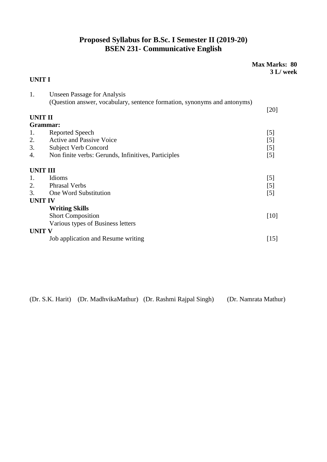## **Proposed Syllabus for B.Sc. I Semester II (2019-20) BSEN 231- Communicative English**

### **Max Marks: 80 3 L/ week**

### **UNIT I**

| 1.             | <b>Unseen Passage for Analysis</b>                                       |                    |
|----------------|--------------------------------------------------------------------------|--------------------|
|                | (Question answer, vocabulary, sentence formation, synonyms and antonyms) |                    |
|                |                                                                          | $[20]$             |
| <b>UNIT II</b> |                                                                          |                    |
|                | Grammar:                                                                 |                    |
| 1.             | Reported Speech                                                          | [5]                |
| 2.             | <b>Active and Passive Voice</b>                                          | $[5]$              |
| 3.             | <b>Subject Verb Concord</b>                                              | $\lceil 5 \rceil$  |
| 4.             | Non finite verbs: Gerunds, Infinitives, Participles                      | [5]                |
|                | <b>UNIT III</b>                                                          |                    |
| 1.             | Idioms                                                                   | [5]                |
| 2.             | <b>Phrasal Verbs</b>                                                     | $\lceil 5 \rceil$  |
| 3.             | One Word Substitution                                                    | $[5]$              |
|                | <b>UNIT IV</b>                                                           |                    |
|                | <b>Writing Skills</b>                                                    |                    |
|                | <b>Short Composition</b>                                                 | $[10]$             |
|                | Various types of Business letters                                        |                    |
| <b>UNIT V</b>  |                                                                          |                    |
|                | Job application and Resume writing                                       | $\lceil 15 \rceil$ |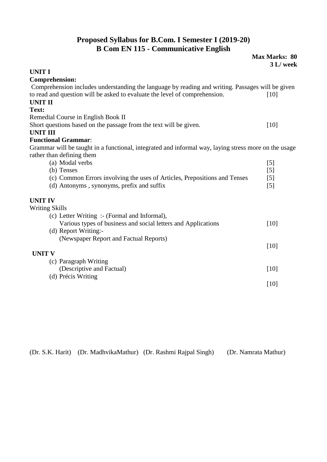# **Proposed Syllabus for B.Com. I Semester I (2019-20) B Com EN 115 - Communicative English**

|                                                                                                      | <b>Max Marks: 80</b><br>3 L/ week |
|------------------------------------------------------------------------------------------------------|-----------------------------------|
| <b>UNIT I</b>                                                                                        |                                   |
| <b>Comprehension:</b>                                                                                |                                   |
| Comprehension includes understanding the language by reading and writing. Passages will be given     |                                   |
| to read and question will be asked to evaluate the level of comprehension.                           | [10]                              |
| <b>UNIT II</b>                                                                                       |                                   |
| Text:                                                                                                |                                   |
| Remedial Course in English Book II                                                                   |                                   |
| Short questions based on the passage from the text will be given.                                    | $[10]$                            |
| <b>UNIT III</b>                                                                                      |                                   |
| <b>Functional Grammar:</b>                                                                           |                                   |
| Grammar will be taught in a functional, integrated and informal way, laying stress more on the usage |                                   |
| rather than defining them                                                                            |                                   |
| (a) Modal verbs                                                                                      | $\lceil 5 \rceil$                 |
| (b) Tenses                                                                                           | $\lceil 5 \rceil$                 |
| (c) Common Errors involving the uses of Articles, Prepositions and Tenses                            | [5]                               |
| (d) Antonyms, synonyms, prefix and suffix                                                            | $[5]$                             |
| <b>UNIT IV</b>                                                                                       |                                   |
| <b>Writing Skills</b>                                                                                |                                   |
| (c) Letter Writing :- (Formal and Informal),                                                         |                                   |
| Various types of business and social letters and Applications                                        | $[10]$                            |
| (d) Report Writing:-                                                                                 |                                   |
| (Newspaper Report and Factual Reports)                                                               |                                   |
|                                                                                                      | [10]                              |
| <b>UNIT V</b>                                                                                        |                                   |
| (c) Paragraph Writing                                                                                |                                   |
| (Descriptive and Factual)                                                                            | [10]                              |
| (d) Précis Writing                                                                                   |                                   |
|                                                                                                      | $[10]$                            |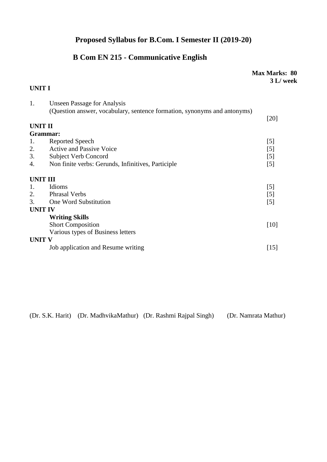# **Proposed Syllabus for B.Com. I Semester II (2019-20)**

# **B Com EN 215 - Communicative English**

|                 |                                                                          | Max Marks: 80<br>3 L/ week |
|-----------------|--------------------------------------------------------------------------|----------------------------|
| <b>UNIT I</b>   |                                                                          |                            |
| 1.              | <b>Unseen Passage for Analysis</b>                                       |                            |
|                 | (Question answer, vocabulary, sentence formation, synonyms and antonyms) | $[20]$                     |
| <b>UNIT II</b>  |                                                                          |                            |
| Grammar:        |                                                                          |                            |
| 1.              | Reported Speech                                                          | [5]                        |
| 2.              | <b>Active and Passive Voice</b>                                          | [5]                        |
| 3.              | <b>Subject Verb Concord</b>                                              | [5]                        |
| 4.              | Non finite verbs: Gerunds, Infinitives, Participle                       | [5]                        |
| <b>UNIT III</b> |                                                                          |                            |
| 1.              | Idioms                                                                   | [5]                        |
| 2.              | <b>Phrasal Verbs</b>                                                     | $\lceil 5 \rceil$          |
| 3.              | One Word Substitution                                                    | $[5]$                      |
| <b>UNIT IV</b>  |                                                                          |                            |
|                 | <b>Writing Skills</b>                                                    |                            |
|                 | <b>Short Composition</b>                                                 | $[10]$                     |
|                 | Various types of Business letters                                        |                            |
| <b>UNIT V</b>   |                                                                          |                            |
|                 | Job application and Resume writing                                       | $[15]$                     |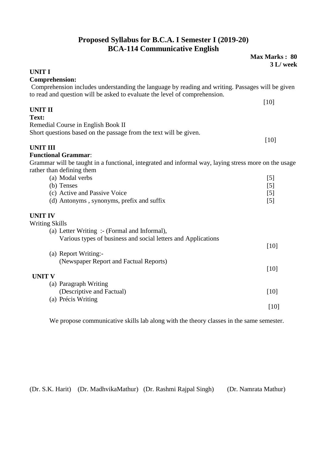## **Proposed Syllabus for B.C.A. I Semester I (2019-20) BCA-114 Communicative English**

**Max Marks : 80**

|                                                                                                      | 3 L/ week         |
|------------------------------------------------------------------------------------------------------|-------------------|
| <b>UNIT I</b>                                                                                        |                   |
| <b>Comprehension:</b>                                                                                |                   |
| Comprehension includes understanding the language by reading and writing. Passages will be given     |                   |
| to read and question will be asked to evaluate the level of comprehension.                           |                   |
| <b>UNIT II</b>                                                                                       | $[10]$            |
| Text:                                                                                                |                   |
| Remedial Course in English Book II                                                                   |                   |
| Short questions based on the passage from the text will be given.                                    |                   |
|                                                                                                      | [10]              |
| <b>UNIT III</b>                                                                                      |                   |
| <b>Functional Grammar:</b>                                                                           |                   |
| Grammar will be taught in a functional, integrated and informal way, laying stress more on the usage |                   |
| rather than defining them                                                                            |                   |
| (a) Modal verbs                                                                                      | $\lceil 5 \rceil$ |
| (b) Tenses                                                                                           | $[5]$             |
| (c) Active and Passive Voice<br>(d) Antonyms, synonyms, prefix and suffix                            | $[5]$<br>[5]      |
|                                                                                                      |                   |
| <b>UNIT IV</b>                                                                                       |                   |
| <b>Writing Skills</b>                                                                                |                   |
| (a) Letter Writing :- (Formal and Informal),                                                         |                   |
| Various types of business and social letters and Applications                                        |                   |
|                                                                                                      | $[10]$            |
| (a) Report Writing:-                                                                                 |                   |
| (Newspaper Report and Factual Reports)                                                               |                   |
|                                                                                                      | [10]              |
| <b>UNIT V</b>                                                                                        |                   |
| (a) Paragraph Writing<br>(Descriptive and Factual)                                                   | $[10]$            |
| (a) Précis Writing                                                                                   |                   |
|                                                                                                      | $[10]$            |
|                                                                                                      |                   |

We propose communicative skills lab along with the theory classes in the same semester.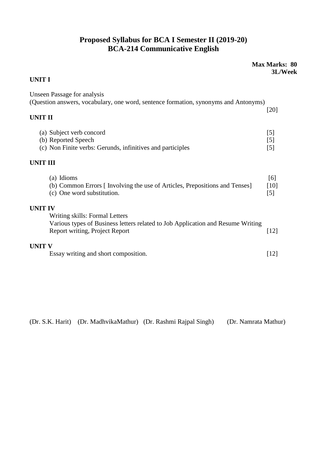# **Proposed Syllabus for BCA I Semester II (2019-20) BCA-214 Communicative English**

### **Max Marks: 80 3L/Week**

### **UNIT I**

| <b>Unseen Passage for analysis</b><br>(Question answers, vocabulary, one word, sentence formation, synonyms and Antonyms)                           |                                   |
|-----------------------------------------------------------------------------------------------------------------------------------------------------|-----------------------------------|
| <b>UNIT II</b>                                                                                                                                      | $[20]$                            |
| (a) Subject verb concord<br>(b) Reported Speech<br>(c) Non Finite verbs: Gerunds, infinitives and participles                                       | $\lceil 5 \rceil$<br>$[5]$<br>[5] |
| <b>UNIT III</b>                                                                                                                                     |                                   |
| (a) Idioms<br>(b) Common Errors [Involving the use of Articles, Prepositions and Tenses]<br>(c) One word substitution.                              | [6]<br>[10]<br>$\lceil 5 \rceil$  |
| <b>UNIT IV</b>                                                                                                                                      |                                   |
| Writing skills: Formal Letters<br>Various types of Business letters related to Job Application and Resume Writing<br>Report writing, Project Report | $[12]$                            |
| <b>UNIT V</b><br>Essay writing and short composition.                                                                                               | [12]                              |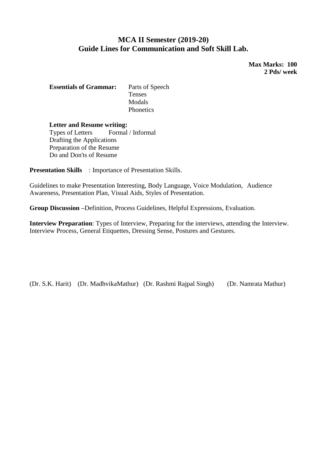### **MCA II Semester (2019-20) Guide Lines for Communication and Soft Skill Lab.**

**Max Marks: 100 2 Pds/ week**

**Essentials of Grammar:** Parts of Speech Tenses Modals **Phonetics** 

**Letter and Resume writing:** Types of Letters Formal / Informal Drafting the Applications Preparation of the Resume Do and Don'ts of Resume

**Presentation Skills** : Importance of Presentation Skills.

Guidelines to make Presentation Interesting, Body Language, Voice Modulation, Audience Awareness, Presentation Plan, Visual Aids, Styles of Presentation.

**Group Discussion –**Definition, Process Guidelines, Helpful Expressions, Evaluation.

**Interview Preparation**: Types of Interview, Preparing for the interviews, attending the Interview. Interview Process, General Etiquettes, Dressing Sense, Postures and Gestures.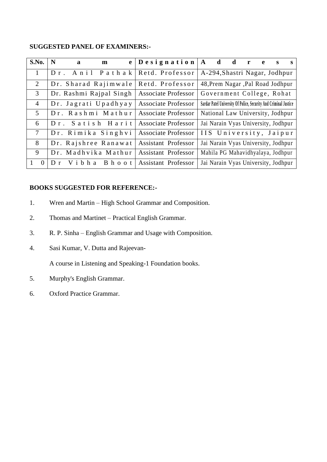#### **SUGGESTED PANEL OF EXAMINERS:-**

| S.No.           | N<br>e <sub>1</sub><br>a<br>$\mathbf{m}$ | $\Delta$ besignation $\Delta$ d | $d$ r<br>e<br>S<br>s                                             |
|-----------------|------------------------------------------|---------------------------------|------------------------------------------------------------------|
| $\mathbf{1}$    | Anil Pathak<br>$Dr$ .                    | Retd. Professor                 | A-294, Shastri Nagar, Jodhpur                                    |
| $\overline{2}$  | Dr. Sharad Rajimwale                     | Retd. Professor                 | 48, Prem Nagar , Pal Road Jodhpur                                |
| $\mathfrak{Z}$  | Dr. Rashmi Rajpal Singh                  | <b>Associate Professor</b>      | Government College, Rohat                                        |
| $\overline{4}$  | Dr. Jagrati Upadhyay                     | <b>Associate Professor</b>      | Sardar Patel University Of Police, Security And Criminal Justice |
| .5              | Dr. Rashmi Mathur                        | <b>Associate Professor</b>      | National Law University, Jodhpur                                 |
| 6               | Dr. Satish Harit                         | <b>Associate Professor</b>      | Jai Narain Vyas University, Jodhpur                              |
| $7\phantom{.0}$ | Dr. Rimika Singhvi                       | Associate Professor             | IIS University, Jaipur                                           |
| 8               | Dr. Rajshree Ranawat                     | <b>Assistant Professor</b>      | Jai Narain Vyas University, Jodhpur                              |
| 9               | Dr. Madhvika Mathur                      | <b>Assistant Professor</b>      | Mahila PG Mahavidhyalaya, Jodhpur                                |
| $\theta$        | Vibha Bhoot<br>$D_r$                     | <b>Assistant Professor</b>      | Jai Narain Vyas University, Jodhpur                              |

### **BOOKS SUGGESTED FOR REFERENCE:-**

- 1. Wren and Martin High School Grammar and Composition.
- 2. Thomas and Martinet Practical English Grammar.
- 3. R. P. Sinha English Grammar and Usage with Composition.
- 4. Sasi Kumar, V. Dutta and Rajeevan-

A course in Listening and Speaking-1 Foundation books.

- 5. Murphy's English Grammar.
- 6. Oxford Practice Grammar.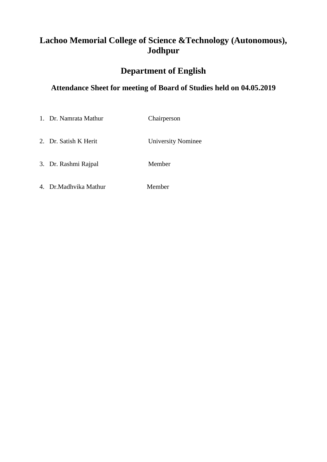# **Lachoo Memorial College of Science &Technology (Autonomous), Jodhpur**

# **Department of English**

## **Attendance Sheet for meeting of Board of Studies held on 04.05.2019**

| 1. Dr. Namrata Mathur  | Chairperson               |
|------------------------|---------------------------|
| 2. Dr. Satish K Herit  | <b>University Nominee</b> |
| 3. Dr. Rashmi Rajpal   | Member                    |
| 4. Dr. Madhvika Mathur | Member                    |